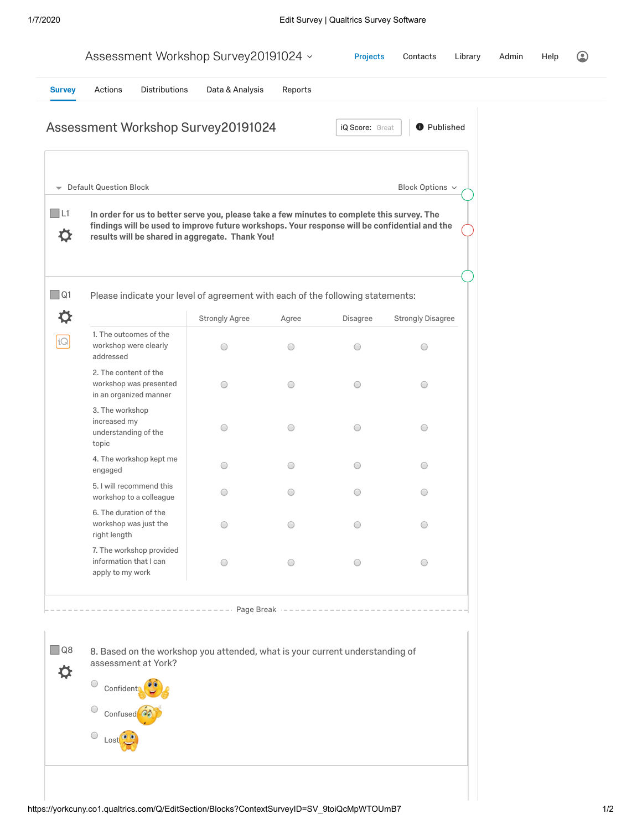|                         |                                                                           |               | Assessment Workshop Survey20191024 v                                                                                                                                                                                                            |                                 | <b>Projects</b> | Contacts                 | Library | Admin | Help |  |
|-------------------------|---------------------------------------------------------------------------|---------------|-------------------------------------------------------------------------------------------------------------------------------------------------------------------------------------------------------------------------------------------------|---------------------------------|-----------------|--------------------------|---------|-------|------|--|
| <b>Survey</b>           | Actions                                                                   | Distributions | Data & Analysis                                                                                                                                                                                                                                 | Reports                         |                 |                          |         |       |      |  |
|                         |                                                                           |               | Assessment Workshop Survey20191024                                                                                                                                                                                                              |                                 | iQ Score: Great | <b>O</b> Published       |         |       |      |  |
| $\overline{\mathbf{v}}$ | <b>Default Question Block</b>                                             |               |                                                                                                                                                                                                                                                 |                                 |                 | Block Options $\sim$     |         |       |      |  |
| $\Box$ L1<br>⋫          |                                                                           |               | In order for us to better serve you, please take a few minutes to complete this survey. The<br>findings will be used to improve future workshops. Your response will be confidential and the<br>results will be shared in aggregate. Thank You! |                                 |                 |                          |         |       |      |  |
| $\Box$ Q1               |                                                                           |               | Please indicate your level of agreement with each of the following statements:                                                                                                                                                                  |                                 |                 |                          |         |       |      |  |
| ⋫                       |                                                                           |               | <b>Strongly Agree</b>                                                                                                                                                                                                                           | Agree                           | Disagree        | <b>Strongly Disagree</b> |         |       |      |  |
| iQ                      | 1. The outcomes of the<br>workshop were clearly<br>addressed              |               | $\bigcirc$                                                                                                                                                                                                                                      | $\bigcirc$                      | $\bigcirc$      | O                        |         |       |      |  |
|                         | 2. The content of the<br>workshop was presented<br>in an organized manner |               | $\bigcirc$                                                                                                                                                                                                                                      | $\bigcirc$                      | $\bigcirc$      | O                        |         |       |      |  |
|                         | 3. The workshop<br>increased my<br>understanding of the<br>topic          |               | $\bigcirc$                                                                                                                                                                                                                                      | $\bigcirc$                      | $\bigcirc$      | 0                        |         |       |      |  |
|                         | 4. The workshop kept me<br>engaged                                        |               | $\bigcirc$                                                                                                                                                                                                                                      | $\bigcirc$                      | $\bigcirc$      | $\bigcirc$               |         |       |      |  |
|                         | 5. I will recommend this<br>workshop to a colleague                       |               | $\bigcirc$                                                                                                                                                                                                                                      | $\bigcirc$                      | $\bigcirc$      | O                        |         |       |      |  |
|                         | 6. The duration of the<br>workshop was just the<br>right length           |               | $\bigcirc$                                                                                                                                                                                                                                      | $\bigcirc$                      | O               | O                        |         |       |      |  |
|                         | 7. The workshop provided<br>information that I can<br>apply to my work    |               | $\bigcirc$                                                                                                                                                                                                                                      | $\bigcirc$                      | $\bigcirc$      | $\bigcirc$               |         |       |      |  |
|                         |                                                                           |               |                                                                                                                                                                                                                                                 | Page Break $------------------$ |                 |                          |         |       |      |  |
| $\square$ Q8<br>⋫       | assessment at York?<br>$\bigcirc$                                         |               | 8. Based on the workshop you attended, what is your current understanding of                                                                                                                                                                    |                                 |                 |                          |         |       |      |  |
|                         | Confident<br>Confused <sup>6</sup>                                        |               |                                                                                                                                                                                                                                                 |                                 |                 |                          |         |       |      |  |
|                         | Lost                                                                      |               |                                                                                                                                                                                                                                                 |                                 |                 |                          |         |       |      |  |
|                         |                                                                           |               |                                                                                                                                                                                                                                                 |                                 |                 |                          |         |       |      |  |